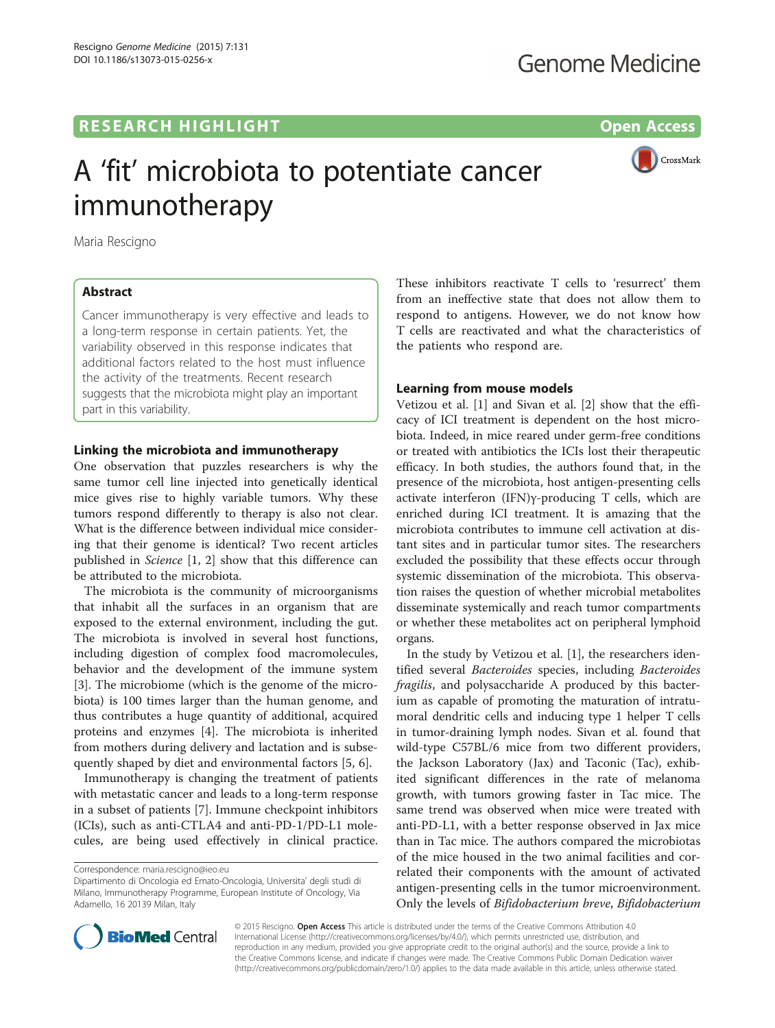# **RESEARCH HIGHLIGHT CONSUMING THE OPEN ACCESS**



# A 'fit' microbiota to potentiate cancer immunotherapy

Maria Rescigno

# Abstract

Cancer immunotherapy is very effective and leads to a long-term response in certain patients. Yet, the variability observed in this response indicates that additional factors related to the host must influence the activity of the treatments. Recent research suggests that the microbiota might play an important part in this variability.

## Linking the microbiota and immunotherapy

One observation that puzzles researchers is why the same tumor cell line injected into genetically identical mice gives rise to highly variable tumors. Why these tumors respond differently to therapy is also not clear. What is the difference between individual mice considering that their genome is identical? Two recent articles published in Science [\[1](#page-1-0), [2\]](#page-1-0) show that this difference can be attributed to the microbiota.

The microbiota is the community of microorganisms that inhabit all the surfaces in an organism that are exposed to the external environment, including the gut. The microbiota is involved in several host functions, including digestion of complex food macromolecules, behavior and the development of the immune system [[3\]](#page-1-0). The microbiome (which is the genome of the microbiota) is 100 times larger than the human genome, and thus contributes a huge quantity of additional, acquired proteins and enzymes [[4](#page-1-0)]. The microbiota is inherited from mothers during delivery and lactation and is subsequently shaped by diet and environmental factors [[5, 6\]](#page-1-0).

Immunotherapy is changing the treatment of patients with metastatic cancer and leads to a long-term response in a subset of patients [[7](#page-1-0)]. Immune checkpoint inhibitors (ICIs), such as anti-CTLA4 and anti-PD-1/PD-L1 molecules, are being used effectively in clinical practice.

These inhibitors reactivate T cells to 'resurrect' them from an ineffective state that does not allow them to respond to antigens. However, we do not know how T cells are reactivated and what the characteristics of the patients who respond are.

## Learning from mouse models

Vetizou et al. [[1\]](#page-1-0) and Sivan et al. [[2\]](#page-1-0) show that the efficacy of ICI treatment is dependent on the host microbiota. Indeed, in mice reared under germ-free conditions or treated with antibiotics the ICIs lost their therapeutic efficacy. In both studies, the authors found that, in the presence of the microbiota, host antigen-presenting cells activate interferon (IFN)γ-producing T cells, which are enriched during ICI treatment. It is amazing that the microbiota contributes to immune cell activation at distant sites and in particular tumor sites. The researchers excluded the possibility that these effects occur through systemic dissemination of the microbiota. This observation raises the question of whether microbial metabolites disseminate systemically and reach tumor compartments or whether these metabolites act on peripheral lymphoid organs.

In the study by Vetizou et al. [\[1\]](#page-1-0), the researchers identified several Bacteroides species, including Bacteroides fragilis, and polysaccharide A produced by this bacterium as capable of promoting the maturation of intratumoral dendritic cells and inducing type 1 helper T cells in tumor-draining lymph nodes. Sivan et al. found that wild-type C57BL/6 mice from two different providers, the Jackson Laboratory (Jax) and Taconic (Tac), exhibited significant differences in the rate of melanoma growth, with tumors growing faster in Tac mice. The same trend was observed when mice were treated with anti-PD-L1, with a better response observed in Jax mice than in Tac mice. The authors compared the microbiotas of the mice housed in the two animal facilities and correlated their components with the amount of activated antigen-presenting cells in the tumor microenvironment. Only the levels of Bifidobacterium breve, Bifidobacterium



© 2015 Rescigno. Open Access This article is distributed under the terms of the Creative Commons Attribution 4.0 International License [\(http://creativecommons.org/licenses/by/4.0/](http://creativecommons.org/licenses/by/4.0/)), which permits unrestricted use, distribution, and reproduction in any medium, provided you give appropriate credit to the original author(s) and the source, provide a link to the Creative Commons license, and indicate if changes were made. The Creative Commons Public Domain Dedication waiver [\(http://creativecommons.org/publicdomain/zero/1.0/](http://creativecommons.org/publicdomain/zero/1.0/)) applies to the data made available in this article, unless otherwise stated.

Correspondence: [maria.rescigno@ieo.eu](mailto:maria.rescigno@ieo.eu)

Dipartimento di Oncologia ed Emato-Oncologia, Universita' degli studi di Milano, Immunotherapy Programme, European Institute of Oncology, Via Adamello, 16 20139 Milan, Italy